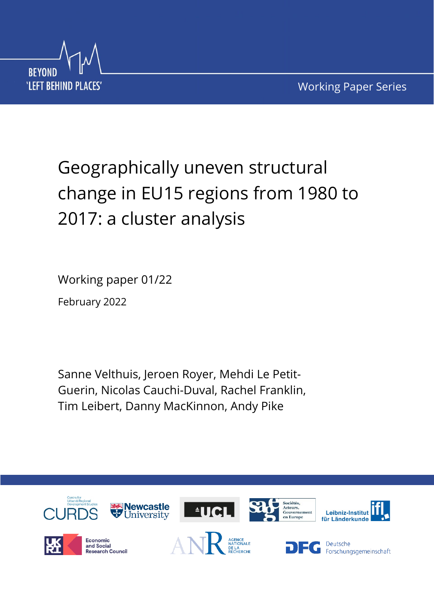

# Geographically uneven structural change in EU15 regions from 1980 to 2017: a cluster analysis

Working paper 01/22 February 2022

Sanne Velthuis, Jeroen Royer, Mehdi Le Petit-Guerin, Nicolas Cauchi-Duval, Rachel Franklin, Tim Leibert, Danny MacKinnon, Andy Pike

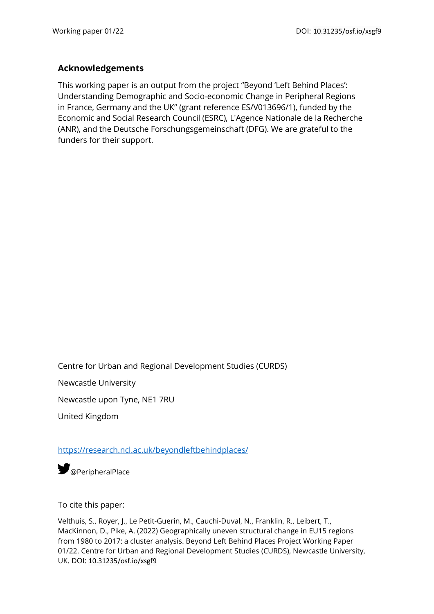## **Acknowledgements**

This working paper is an output from the project "Beyond 'Left Behind Places': Understanding Demographic and Socio-economic Change in Peripheral Regions in France, Germany and the UK" (grant reference ES/V013696/1), funded by the Economic and Social Research Council (ESRC), L'Agence Nationale de la Recherche (ANR), and the Deutsche Forschungsgemeinschaft (DFG). We are grateful to the funders for their support.

Centre for Urban and Regional Development Studies (CURDS)

Newcastle University

Newcastle upon Tyne, NE1 7RU

United Kingdom

#### <https://research.ncl.ac.uk/beyondleftbehindplaces/>

**S** [@PeripheralPlace](https://twitter.com/PeripheralPlace)

To cite this paper:

Velthuis, S., Royer, J., Le Petit-Guerin, M., Cauchi-Duval, N., Franklin, R., Leibert, T., MacKinnon, D., Pike, A. (2022) Geographically uneven structural change in EU15 regions from 1980 to 2017: a cluster analysis. Beyond Left Behind Places Project Working Paper 01/22. Centre for Urban and Regional Development Studies (CURDS), Newcastle University, UK. DOI: 10.31235/osf.io/xsgf9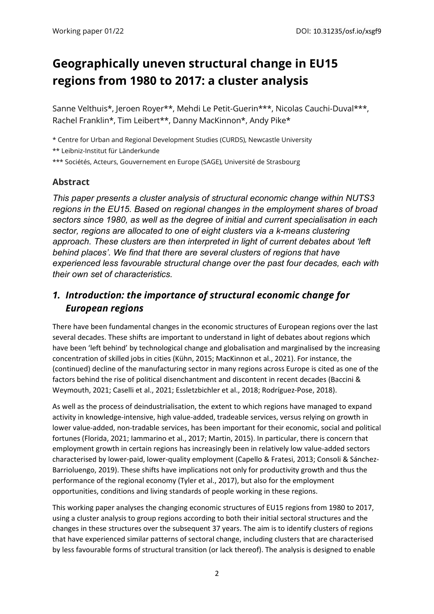# **Geographically uneven structural change in EU15 regions from 1980 to 2017: a cluster analysis**

Sanne Velthuis\*, Jeroen Royer\*\*, Mehdi Le Petit-Guerin\*\*\*, Nicolas Cauchi-Duval\*\*\*, Rachel Franklin\*, Tim Leibert\*\*, Danny MacKinnon\*, Andy Pike\*

\* Centre for Urban and Regional Development Studies (CURDS), Newcastle University \*\* Leibniz-Institut für Länderkunde

\*\*\* Sociétés, Acteurs, Gouvernement en Europe (SAGE), Université de Strasbourg

## **Abstract**

*This paper presents a cluster analysis of structural economic change within NUTS3 regions in the EU15. Based on regional changes in the employment shares of broad sectors since 1980, as well as the degree of initial and current specialisation in each sector, regions are allocated to one of eight clusters via a k-means clustering approach. These clusters are then interpreted in light of current debates about 'left behind places'. We find that there are several clusters of regions that have experienced less favourable structural change over the past four decades, each with their own set of characteristics.* 

# *1. Introduction: the importance of structural economic change for European regions*

There have been fundamental changes in the economic structures of European regions over the last several decades. These shifts are important to understand in light of debates about regions which have been 'left behind' by technological change and globalisation and marginalised by the increasing concentration of skilled jobs in cities (Kühn, 2015; MacKinnon et al., 2021). For instance, the (continued) decline of the manufacturing sector in many regions across Europe is cited as one of the factors behind the rise of political disenchantment and discontent in recent decades (Baccini & Weymouth, 2021; Caselli et al., 2021; Essletzbichler et al., 2018; Rodríguez-Pose, 2018).

As well as the process of deindustrialisation, the extent to which regions have managed to expand activity in knowledge-intensive, high value-added, tradeable services, versus relying on growth in lower value-added, non-tradable services, has been important for their economic, social and political fortunes (Florida, 2021; Iammarino et al., 2017; Martin, 2015). In particular, there is concern that employment growth in certain regions has increasingly been in relatively low value-added sectors characterised by lower-paid, lower-quality employment (Capello & Fratesi, 2013; Consoli & Sánchez-Barrioluengo, 2019). These shifts have implications not only for productivity growth and thus the performance of the regional economy (Tyler et al., 2017), but also for the employment opportunities, conditions and living standards of people working in these regions.

This working paper analyses the changing economic structures of EU15 regions from 1980 to 2017, using a cluster analysis to group regions according to both their initial sectoral structures and the changes in these structures over the subsequent 37 years. The aim is to identify clusters of regions that have experienced similar patterns of sectoral change, including clusters that are characterised by less favourable forms of structural transition (or lack thereof). The analysis is designed to enable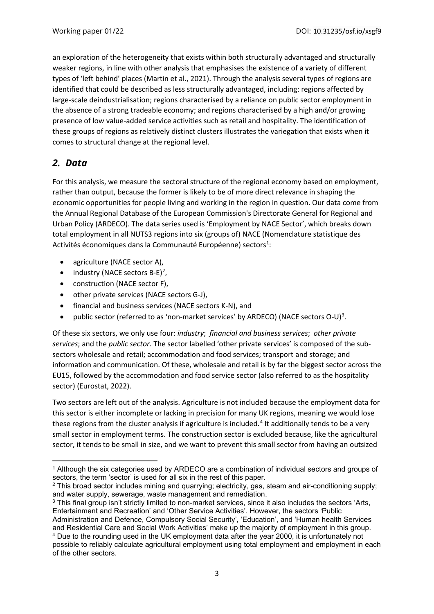an exploration of the heterogeneity that exists within both structurally advantaged and structurally weaker regions, in line with other analysis that emphasises the existence of a variety of different types of 'left behind' places (Martin et al., 2021). Through the analysis several types of regions are identified that could be described as less structurally advantaged, including: regions affected by large-scale deindustrialisation; regions characterised by a reliance on public sector employment in the absence of a strong tradeable economy; and regions characterised by a high and/or growing presence of low value-added service activities such as retail and hospitality. The identification of these groups of regions as relatively distinct clusters illustrates the variegation that exists when it comes to structural change at the regional level.

## *2. Data*

For this analysis, we measure the sectoral structure of the regional economy based on employment, rather than output, because the former is likely to be of more direct relevance in shaping the economic opportunities for people living and working in the region in question. Our data come from the Annual Regional Database of the European Commission's Directorate General for Regional and Urban Policy (ARDECO). The data series used is 'Employment by NACE Sector', which breaks down total employment in all NUTS3 regions into six (groups of) NACE (Nomenclature statistique des Activités économiques dans la Communauté Européenne) sectors<sup>[1](#page-3-0)</sup>:

- agriculture (NACE sector A),
- $\bullet$  industry (NACE sectors B-E)<sup>[2](#page-3-1)</sup>,
- construction (NACE sector F),
- other private services (NACE sectors G-J),
- financial and business services (NACE sectors K-N), and
- public sector (referred to as 'non-market services' by ARDECO) (NACE sectors O-U)<sup>[3](#page-3-2)</sup>.

Of these six sectors, we only use four: *industry*; *financial and business services*; *other private services*; and the *public sector*. The sector labelled 'other private services' is composed of the subsectors wholesale and retail; accommodation and food services; transport and storage; and information and communication. Of these, wholesale and retail is by far the biggest sector across the EU15, followed by the accommodation and food service sector (also referred to as the hospitality sector) (Eurostat, 2022).

Two sectors are left out of the analysis. Agriculture is not included because the employment data for this sector is either incomplete or lacking in precision for many UK regions, meaning we would lose these regions from the cluster analysis if agriculture is included.<sup>[4](#page-3-3)</sup> It additionally tends to be a very small sector in employment terms. The construction sector is excluded because, like the agricultural sector, it tends to be small in size, and we want to prevent this small sector from having an outsized

<span id="page-3-2"></span><sup>3</sup> This final group isn't strictly limited to non-market services, since it also includes the sectors 'Arts, Entertainment and Recreation' and 'Other Service Activities'. However, the sectors 'Public Administration and Defence, Compulsory Social Security', 'Education', and 'Human health Services and Residential Care and Social Work Activities' make up the majority of employment in this group. <sup>4</sup> Due to the rounding used in the UK employment data after the year 2000, it is unfortunately not

<span id="page-3-0"></span><sup>1</sup> Although the six categories used by ARDECO are a combination of individual sectors and groups of sectors, the term 'sector' is used for all six in the rest of this paper.

<span id="page-3-1"></span><sup>2</sup> This broad sector includes mining and quarrying; electricity, gas, steam and air-conditioning supply; and water supply, sewerage, waste management and remediation.

<span id="page-3-3"></span>possible to reliably calculate agricultural employment using total employment and employment in each of the other sectors.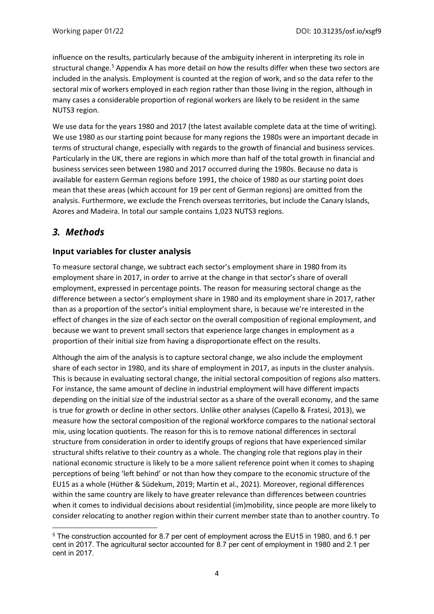influence on the results, particularly because of the ambiguity inherent in interpreting its role in structural change.<sup>[5](#page-4-0)</sup> Appendix A has more detail on how the results differ when these two sectors are included in the analysis. Employment is counted at the region of work, and so the data refer to the sectoral mix of workers employed in each region rather than those living in the region, although in many cases a considerable proportion of regional workers are likely to be resident in the same NUTS3 region.

We use data for the years 1980 and 2017 (the latest available complete data at the time of writing). We use 1980 as our starting point because for many regions the 1980s were an important decade in terms of structural change, especially with regards to the growth of financial and business services. Particularly in the UK, there are regions in which more than half of the total growth in financial and business services seen between 1980 and 2017 occurred during the 1980s. Because no data is available for eastern German regions before 1991, the choice of 1980 as our starting point does mean that these areas (which account for 19 per cent of German regions) are omitted from the analysis. Furthermore, we exclude the French overseas territories, but include the Canary Islands, Azores and Madeira. In total our sample contains 1,023 NUTS3 regions.

# *3. Methods*

## **Input variables for cluster analysis**

To measure sectoral change, we subtract each sector's employment share in 1980 from its employment share in 2017, in order to arrive at the change in that sector's share of overall employment, expressed in percentage points. The reason for measuring sectoral change as the difference between a sector's employment share in 1980 and its employment share in 2017, rather than as a proportion of the sector's initial employment share, is because we're interested in the effect of changes in the size of each sector on the overall composition of regional employment, and because we want to prevent small sectors that experience large changes in employment as a proportion of their initial size from having a disproportionate effect on the results.

Although the aim of the analysis is to capture sectoral change, we also include the employment share of each sector in 1980, and its share of employment in 2017, as inputs in the cluster analysis. This is because in evaluating sectoral change, the initial sectoral composition of regions also matters. For instance, the same amount of decline in industrial employment will have different impacts depending on the initial size of the industrial sector as a share of the overall economy, and the same is true for growth or decline in other sectors. Unlike other analyses (Capello & Fratesi, 2013), we measure how the sectoral composition of the regional workforce compares to the national sectoral mix, using location quotients. The reason for this is to remove national differences in sectoral structure from consideration in order to identify groups of regions that have experienced similar structural shifts relative to their country as a whole. The changing role that regions play in their national economic structure is likely to be a more salient reference point when it comes to shaping perceptions of being 'left behind' or not than how they compare to the economic structure of the EU15 as a whole (Hüther & Südekum, 2019; Martin et al., 2021). Moreover, regional differences within the same country are likely to have greater relevance than differences between countries when it comes to individual decisions about residential (im)mobility, since people are more likely to consider relocating to another region within their current member state than to another country. To

<span id="page-4-0"></span><sup>5</sup> The construction accounted for 8.7 per cent of employment across the EU15 in 1980, and 6.1 per cent in 2017. The agricultural sector accounted for 8.7 per cent of employment in 1980 and 2.1 per cent in 2017.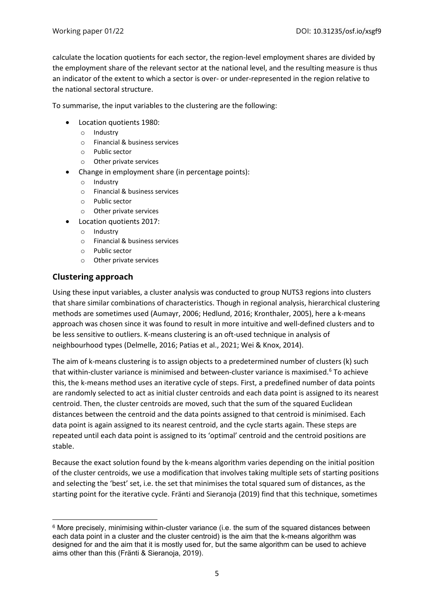calculate the location quotients for each sector, the region-level employment shares are divided by the employment share of the relevant sector at the national level, and the resulting measure is thus an indicator of the extent to which a sector is over- or under-represented in the region relative to the national sectoral structure.

To summarise, the input variables to the clustering are the following:

- Location quotients 1980:
	- o Industry
	- o Financial & business services
	- o Public sector
	- o Other private services
- Change in employment share (in percentage points):
	- o Industry
	- o Financial & business services
	- o Public sector
	- o Other private services
- Location quotients 2017:
	- o Industry
	- o Financial & business services
	- o Public sector
	- o Other private services

#### **Clustering approach**

Using these input variables, a cluster analysis was conducted to group NUTS3 regions into clusters that share similar combinations of characteristics. Though in regional analysis, hierarchical clustering methods are sometimes used (Aumayr, 2006; Hedlund, 2016; Kronthaler, 2005), here a k-means approach was chosen since it was found to result in more intuitive and well-defined clusters and to be less sensitive to outliers. K-means clustering is an oft-used technique in analysis of neighbourhood types (Delmelle, 2016; Patias et al., 2021; Wei & Knox, 2014).

The aim of k-means clustering is to assign objects to a predetermined number of clusters (k) such that within-cluster variance is minimised and between-cluster variance is maximised.<sup>[6](#page-5-0)</sup> To achieve this, the k-means method uses an iterative cycle of steps. First, a predefined number of data points are randomly selected to act as initial cluster centroids and each data point is assigned to its nearest centroid. Then, the cluster centroids are moved, such that the sum of the squared Euclidean distances between the centroid and the data points assigned to that centroid is minimised. Each data point is again assigned to its nearest centroid, and the cycle starts again. These steps are repeated until each data point is assigned to its 'optimal' centroid and the centroid positions are stable.

Because the exact solution found by the k-means algorithm varies depending on the initial position of the cluster centroids, we use a modification that involves taking multiple sets of starting positions and selecting the 'best' set, i.e. the set that minimises the total squared sum of distances, as the starting point for the iterative cycle. Fränti and Sieranoja (2019) find that this technique, sometimes

<span id="page-5-0"></span> $6$  More precisely, minimising within-cluster variance (i.e. the sum of the squared distances between each data point in a cluster and the cluster centroid) is the aim that the k-means algorithm was designed for and the aim that it is mostly used for, but the same algorithm can be used to achieve aims other than this (Fränti & Sieranoja, 2019).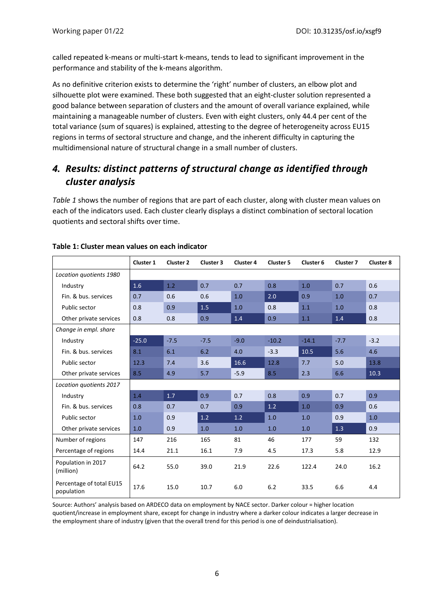called repeated k-means or multi-start k-means, tends to lead to significant improvement in the performance and stability of the k-means algorithm.

As no definitive criterion exists to determine the 'right' number of clusters, an elbow plot and silhouette plot were examined. These both suggested that an eight-cluster solution represented a good balance between separation of clusters and the amount of overall variance explained, while maintaining a manageable number of clusters. Even with eight clusters, only 44.4 per cent of the total variance (sum of squares) is explained, attesting to the degree of heterogeneity across EU15 regions in terms of sectoral structure and change, and the inherent difficulty in capturing the multidimensional nature of structural change in a small number of clusters.

# *4. Results: distinct patterns of structural change as identified through cluster analysis*

*[Table 1](#page-6-0)* shows the number of regions that are part of each cluster, along with cluster mean values on each of the indicators used. Each cluster clearly displays a distinct combination of sectoral location quotients and sectoral shifts over time.

|                                        | Cluster 1 | Cluster 2 | Cluster 3 | Cluster 4 | Cluster 5 | Cluster 6 | Cluster 7 | Cluster 8 |
|----------------------------------------|-----------|-----------|-----------|-----------|-----------|-----------|-----------|-----------|
| Location quotients 1980                |           |           |           |           |           |           |           |           |
| Industry                               | 1.6       | 1.2       | 0.7       | 0.7       | 0.8       | 1.0       | 0.7       | 0.6       |
| Fin. & bus. services                   | 0.7       | 0.6       | 0.6       | 1.0       | 2.0       | 0.9       | 1.0       | 0.7       |
| Public sector                          | 0.8       | 0.9       | 1.5       | 1.0       | 0.8       | 1.1       | 1.0       | 0.8       |
| Other private services                 | 0.8       | 0.8       | 0.9       | 1.4       | 0.9       | 1.1       | 1.4       | 0.8       |
| Change in empl. share                  |           |           |           |           |           |           |           |           |
| Industry                               | $-25.0$   | $-7.5$    | $-7.5$    | $-9.0$    | $-10.2$   | $-14.1$   | $-7.7$    | $-3.2$    |
| Fin. & bus. services                   | 8.1       | 6.1       | 6.2       | 4.0       | $-3.3$    | 10.5      | 5.6       | 4.6       |
| Public sector                          | 12.3      | 7.4       | 3.6       | 16.6      | 12.8      | 7.7       | 5.0       | 13.8      |
| Other private services                 | 8.5       | 4.9       | 5.7       | $-5.9$    | 8.5       | 2.3       | 6.6       | 10.3      |
| Location quotients 2017                |           |           |           |           |           |           |           |           |
| Industry                               | 1.4       | 1.7       | 0.9       | 0.7       | 0.8       | 0.9       | 0.7       | 0.9       |
| Fin. & bus. services                   | 0.8       | 0.7       | 0.7       | 0.9       | 1.2       | 1.0       | 0.9       | 0.6       |
| Public sector                          | 1.0       | 0.9       | 1.2       | 1.2       | 1.0       | 1.0       | 0.9       | 1.0       |
| Other private services                 | 1.0       | 0.9       | 1.0       | 1.0       | 1.0       | 1.0       | 1.3       | 0.9       |
| Number of regions                      | 147       | 216       | 165       | 81        | 46        | 177       | 59        | 132       |
| Percentage of regions                  | 14.4      | 21.1      | 16.1      | 7.9       | 4.5       | 17.3      | 5.8       | 12.9      |
| Population in 2017<br>(million)        | 64.2      | 55.0      | 39.0      | 21.9      | 22.6      | 122.4     | 24.0      | 16.2      |
| Percentage of total EU15<br>population | 17.6      | 15.0      | 10.7      | 6.0       | 6.2       | 33.5      | 6.6       | 4.4       |

#### <span id="page-6-0"></span>**Table 1: Cluster mean values on each indicator**

Source: Authors' analysis based on ARDECO data on employment by NACE sector. Darker colour = higher location quotient/increase in employment share, except for change in industry where a darker colour indicates a larger decrease in the employment share of industry (given that the overall trend for this period is one of deindustrialisation).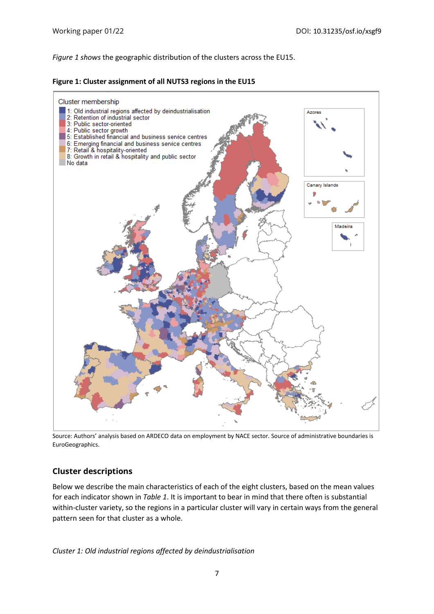*[Figure 1](#page-7-0) shows* the geographic distribution of the clusters across the EU15.

<span id="page-7-0"></span>



Source: Authors' analysis based on ARDECO data on employment by NACE sector*.* Source of administrative boundaries is EuroGeographics.

## **Cluster descriptions**

Below we describe the main characteristics of each of the eight clusters, based on the mean values for each indicator shown in *[Table 1](#page-6-0)*. It is important to bear in mind that there often is substantial within-cluster variety, so the regions in a particular cluster will vary in certain ways from the general pattern seen for that cluster as a whole.

*Cluster 1: Old industrial regions affected by deindustrialisation*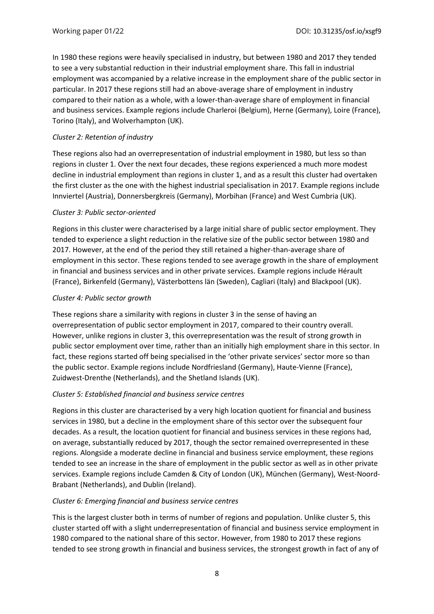In 1980 these regions were heavily specialised in industry, but between 1980 and 2017 they tended to see a very substantial reduction in their industrial employment share. This fall in industrial employment was accompanied by a relative increase in the employment share of the public sector in particular. In 2017 these regions still had an above-average share of employment in industry compared to their nation as a whole, with a lower-than-average share of employment in financial and business services. Example regions include Charleroi (Belgium), Herne (Germany), Loire (France), Torino (Italy), and Wolverhampton (UK).

#### *Cluster 2: Retention of industry*

These regions also had an overrepresentation of industrial employment in 1980, but less so than regions in cluster 1. Over the next four decades, these regions experienced a much more modest decline in industrial employment than regions in cluster 1, and as a result this cluster had overtaken the first cluster as the one with the highest industrial specialisation in 2017. Example regions include Innviertel (Austria), Donnersbergkreis (Germany), Morbihan (France) and West Cumbria (UK).

#### *Cluster 3: Public sector-oriented*

Regions in this cluster were characterised by a large initial share of public sector employment. They tended to experience a slight reduction in the relative size of the public sector between 1980 and 2017. However, at the end of the period they still retained a higher-than-average share of employment in this sector. These regions tended to see average growth in the share of employment in financial and business services and in other private services. Example regions include Hérault (France), Birkenfeld (Germany), Västerbottens län (Sweden), Cagliari (Italy) and Blackpool (UK).

#### *Cluster 4: Public sector growth*

These regions share a similarity with regions in cluster 3 in the sense of having an overrepresentation of public sector employment in 2017, compared to their country overall. However, unlike regions in cluster 3, this overrepresentation was the result of strong growth in public sector employment over time, rather than an initially high employment share in this sector. In fact, these regions started off being specialised in the 'other private services' sector more so than the public sector. Example regions include Nordfriesland (Germany), Haute-Vienne (France), Zuidwest-Drenthe (Netherlands), and the Shetland Islands (UK).

#### *Cluster 5: Established financial and business service centres*

Regions in this cluster are characterised by a very high location quotient for financial and business services in 1980, but a decline in the employment share of this sector over the subsequent four decades. As a result, the location quotient for financial and business services in these regions had, on average, substantially reduced by 2017, though the sector remained overrepresented in these regions. Alongside a moderate decline in financial and business service employment, these regions tended to see an increase in the share of employment in the public sector as well as in other private services. Example regions include Camden & City of London (UK), München (Germany), West-Noord-Brabant (Netherlands), and Dublin (Ireland).

#### *Cluster 6: Emerging financial and business service centres*

This is the largest cluster both in terms of number of regions and population. Unlike cluster 5, this cluster started off with a slight underrepresentation of financial and business service employment in 1980 compared to the national share of this sector. However, from 1980 to 2017 these regions tended to see strong growth in financial and business services, the strongest growth in fact of any of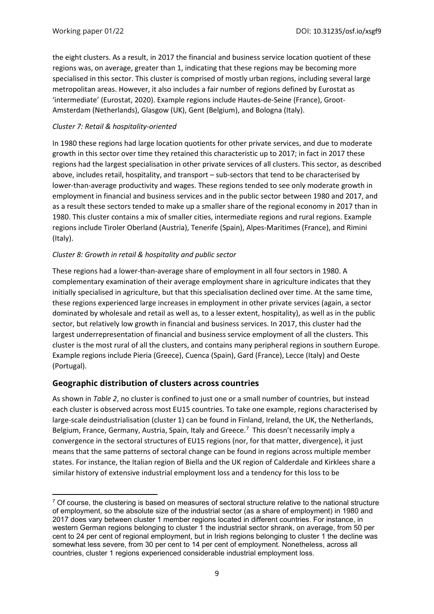the eight clusters. As a result, in 2017 the financial and business service location quotient of these regions was, on average, greater than 1, indicating that these regions may be becoming more specialised in this sector. This cluster is comprised of mostly urban regions, including several large metropolitan areas. However, it also includes a fair number of regions defined by Eurostat as 'intermediate' (Eurostat, 2020). Example regions include Hautes-de-Seine (France), Groot-Amsterdam (Netherlands), Glasgow (UK), Gent (Belgium), and Bologna (Italy).

#### *Cluster 7: Retail & hospitality-oriented*

In 1980 these regions had large location quotients for other private services, and due to moderate growth in this sector over time they retained this characteristic up to 2017; in fact in 2017 these regions had the largest specialisation in other private services of all clusters. This sector, as described above, includes retail, hospitality, and transport – sub-sectors that tend to be characterised by lower-than-average productivity and wages. These regions tended to see only moderate growth in employment in financial and business services and in the public sector between 1980 and 2017, and as a result these sectors tended to make up a smaller share of the regional economy in 2017 than in 1980. This cluster contains a mix of smaller cities, intermediate regions and rural regions. Example regions include Tiroler Oberland (Austria), Tenerife (Spain), Alpes-Maritimes (France), and Rimini (Italy).

#### *Cluster 8: Growth in retail & hospitality and public sector*

These regions had a lower-than-average share of employment in all four sectors in 1980. A complementary examination of their average employment share in agriculture indicates that they initially specialised in agriculture, but that this specialisation declined over time. At the same time, these regions experienced large increases in employment in other private services (again, a sector dominated by wholesale and retail as well as, to a lesser extent, hospitality), as well as in the public sector, but relatively low growth in financial and business services. In 2017, this cluster had the largest underrepresentation of financial and business service employment of all the clusters. This cluster is the most rural of all the clusters, and contains many peripheral regions in southern Europe. Example regions include Pieria (Greece), Cuenca (Spain), Gard (France), Lecce (Italy) and Oeste (Portugal).

#### **Geographic distribution of clusters across countries**

As shown in *[Table 2](#page-10-0)*, no cluster is confined to just one or a small number of countries, but instead each cluster is observed across most EU15 countries. To take one example, regions characterised by large-scale deindustrialisation (cluster 1) can be found in Finland, Ireland, the UK, the Netherlands, Belgium, France, Germany, Austria, Spain, Italy and Greece.<sup>[7](#page-9-0)</sup> This doesn't necessarily imply a convergence in the sectoral structures of EU15 regions (nor, for that matter, divergence), it just means that the same patterns of sectoral change can be found in regions across multiple member states. For instance, the Italian region of Biella and the UK region of Calderdale and Kirklees share a similar history of extensive industrial employment loss and a tendency for this loss to be

<span id="page-9-0"></span> $7$  Of course, the clustering is based on measures of sectoral structure relative to the national structure of employment, so the absolute size of the industrial sector (as a share of employment) in 1980 and 2017 does vary between cluster 1 member regions located in different countries. For instance, in western German regions belonging to cluster 1 the industrial sector shrank, on average, from 50 per cent to 24 per cent of regional employment, but in Irish regions belonging to cluster 1 the decline was somewhat less severe, from 30 per cent to 14 per cent of employment. Nonetheless, across all countries, cluster 1 regions experienced considerable industrial employment loss.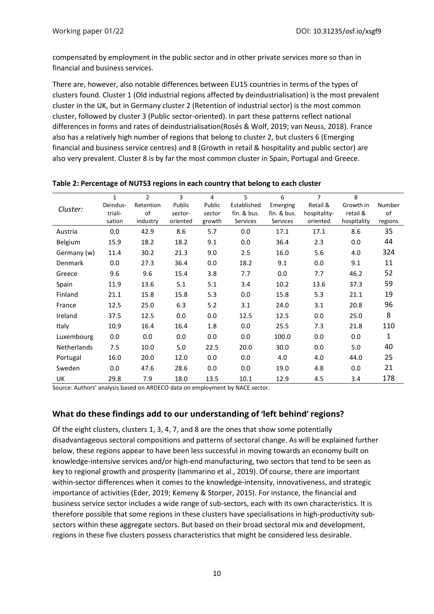compensated by employment in the public sector and in other private services more so than in financial and business services.

There are, however, also notable differences between EU15 countries in terms of the types of clusters found. Cluster 1 (Old industrial regions affected by deindustrialisation) is the most prevalent cluster in the UK, but in Germany cluster 2 (Retention of industrial sector) is the most common cluster, followed by cluster 3 (Public sector-oriented). In part these patterns reflect national differences in forms and rates of deindustrialisation(Rosés & Wolf, 2019; van Neuss, 2018). France also has a relatively high number of regions that belong to cluster 2, but clusters 6 (Emerging financial and business service centres) and 8 (Growth in retail & hospitality and public sector) are also very prevalent. Cluster 8 is by far the most common cluster in Spain, Portugal and Greece.

|                    | $\mathbf{1}$ | $\overline{2}$ | 3        | 4      | 5           | 6           | $\overline{7}$ | 8           |         |
|--------------------|--------------|----------------|----------|--------|-------------|-------------|----------------|-------------|---------|
| Cluster:           | Deindus-     | Retention      | Public   | Public | Established | Emerging    | Retail &       | Growth in   | Number  |
|                    | triali-      | of             | sector-  | sector | fin. & bus. | fin. & bus. | hospitality-   | retail &    | of      |
|                    | sation       | industry       | oriented | growth | Services    | Services    | oriented       | hospitality | regions |
| Austria            | 0.0          | 42.9           | 8.6      | 5.7    | 0.0         | 17.1        | 17.1           | 8.6         | 35      |
| Belgium            | 15.9         | 18.2           | 18.2     | 9.1    | 0.0         | 36.4        | 2.3            | 0.0         | 44      |
| Germany (w)        | 11.4         | 30.2           | 21.3     | 9.0    | 2.5         | 16.0        | 5.6            | 4.0         | 324     |
| Denmark            | 0.0          | 27.3           | 36.4     | 0.0    | 18.2        | 9.1         | 0.0            | 9.1         | 11      |
| Greece             | 9.6          | 9.6            | 15.4     | 3.8    | 7.7         | 0.0         | 7.7            | 46.2        | 52      |
| Spain              | 11.9         | 13.6           | 5.1      | 5.1    | 3.4         | 10.2        | 13.6           | 37.3        | 59      |
| Finland            | 21.1         | 15.8           | 15.8     | 5.3    | 0.0         | 15.8        | 5.3            | 21.1        | 19      |
| France             | 12.5         | 25.0           | 6.3      | 5.2    | 3.1         | 24.0        | 3.1            | 20.8        | 96      |
| Ireland            | 37.5         | 12.5           | 0.0      | 0.0    | 12.5        | 12.5        | 0.0            | 25.0        | 8       |
| Italy              | 10.9         | 16.4           | 16.4     | 1.8    | 0.0         | 25.5        | 7.3            | 21.8        | 110     |
| Luxembourg         | 0.0          | 0.0            | 0.0      | 0.0    | 0.0         | 100.0       | 0.0            | 0.0         | 1       |
| <b>Netherlands</b> | 7.5          | 10.0           | 5.0      | 22.5   | 20.0        | 30.0        | 0.0            | 5.0         | 40      |
| Portugal           | 16.0         | 20.0           | 12.0     | 0.0    | 0.0         | 4.0         | 4.0            | 44.0        | 25      |
| Sweden             | 0.0          | 47.6           | 28.6     | 0.0    | 0.0         | 19.0        | 4.8            | 0.0         | 21      |
| UK                 | 29.8         | 7.9            | 18.0     | 13.5   | 10.1        | 12.9        | 4.5            | 3.4         | 178     |

#### <span id="page-10-0"></span>**Table 2: Percentage of NUTS3 regions in each country that belong to each cluster**

Source: Authors' analysis based on ARDECO data on employment by NACE sector.

#### **What do these findings add to our understanding of 'left behind' regions?**

Of the eight clusters, clusters 1, 3, 4, 7, and 8 are the ones that show some potentially disadvantageous sectoral compositions and patterns of sectoral change. As will be explained further below, these regions appear to have been less successful in moving towards an economy built on knowledge-intensive services and/or high-end manufacturing, two sectors that tend to be seen as key to regional growth and prosperity (Iammarino et al., 2019). Of course, there are important within-sector differences when it comes to the knowledge-intensity, innovativeness, and strategic importance of activities (Eder, 2019; Kemeny & Storper, 2015). For instance, the financial and business service sector includes a wide range of sub-sectors, each with its own characteristics. It is therefore possible that some regions in these clusters have specialisations in high-productivity subsectors within these aggregate sectors. But based on their broad sectoral mix and development, regions in these five clusters possess characteristics that might be considered less desirable.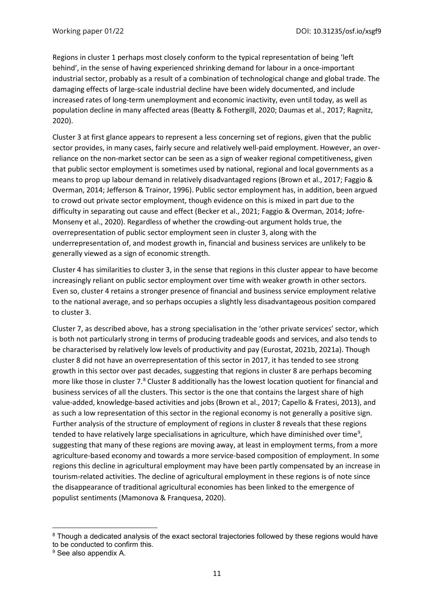Regions in cluster 1 perhaps most closely conform to the typical representation of being 'left behind', in the sense of having experienced shrinking demand for labour in a once-important industrial sector, probably as a result of a combination of technological change and global trade. The damaging effects of large-scale industrial decline have been widely documented, and include increased rates of long-term unemployment and economic inactivity, even until today, as well as population decline in many affected areas (Beatty & Fothergill, 2020; Daumas et al., 2017; Ragnitz, 2020).

Cluster 3 at first glance appears to represent a less concerning set of regions, given that the public sector provides, in many cases, fairly secure and relatively well-paid employment. However, an overreliance on the non-market sector can be seen as a sign of weaker regional competitiveness, given that public sector employment is sometimes used by national, regional and local governments as a means to prop up labour demand in relatively disadvantaged regions (Brown et al., 2017; Faggio & Overman, 2014; Jefferson & Trainor, 1996). Public sector employment has, in addition, been argued to crowd out private sector employment, though evidence on this is mixed in part due to the difficulty in separating out cause and effect (Becker et al., 2021; Faggio & Overman, 2014; Jofre-Monseny et al., 2020). Regardless of whether the crowding-out argument holds true, the overrepresentation of public sector employment seen in cluster 3, along with the underrepresentation of, and modest growth in, financial and business services are unlikely to be generally viewed as a sign of economic strength.

Cluster 4 has similarities to cluster 3, in the sense that regions in this cluster appear to have become increasingly reliant on public sector employment over time with weaker growth in other sectors. Even so, cluster 4 retains a stronger presence of financial and business service employment relative to the national average, and so perhaps occupies a slightly less disadvantageous position compared to cluster 3.

Cluster 7, as described above, has a strong specialisation in the 'other private services' sector, which is both not particularly strong in terms of producing tradeable goods and services, and also tends to be characterised by relatively low levels of productivity and pay (Eurostat, 2021b, 2021a). Though cluster 8 did not have an overrepresentation of this sector in 2017, it has tended to see strong growth in this sector over past decades, suggesting that regions in cluster 8 are perhaps becoming more like those in cluster 7.<sup>[8](#page-11-0)</sup> Cluster 8 additionally has the lowest location quotient for financial and business services of all the clusters. This sector is the one that contains the largest share of high value-added, knowledge-based activities and jobs (Brown et al., 2017; Capello & Fratesi, 2013), and as such a low representation of this sector in the regional economy is not generally a positive sign. Further analysis of the structure of employment of regions in cluster 8 reveals that these regions tended to have relatively large specialisations in agriculture, which have diminished over time<sup>[9](#page-11-1)</sup>, suggesting that many of these regions are moving away, at least in employment terms, from a more agriculture-based economy and towards a more service-based composition of employment. In some regions this decline in agricultural employment may have been partly compensated by an increase in tourism-related activities. The decline of agricultural employment in these regions is of note since the disappearance of traditional agricultural economies has been linked to the emergence of populist sentiments (Mamonova & Franquesa, 2020).

<span id="page-11-0"></span><sup>&</sup>lt;sup>8</sup> Though a dedicated analysis of the exact sectoral trajectories followed by these regions would have to be conducted to confirm this.

<span id="page-11-1"></span><sup>9</sup> See also appendix A.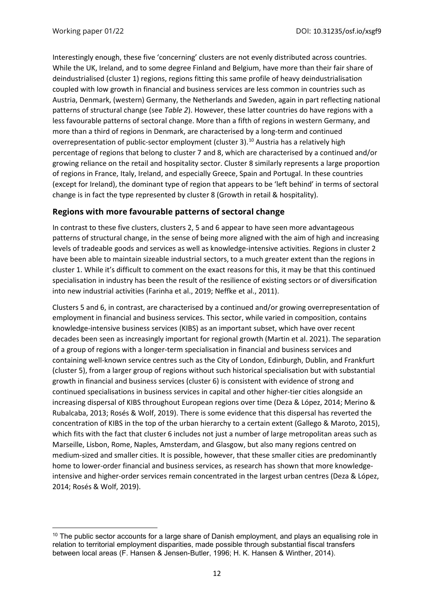Interestingly enough, these five 'concerning' clusters are not evenly distributed across countries. While the UK, Ireland, and to some degree Finland and Belgium, have more than their fair share of deindustrialised (cluster 1) regions, regions fitting this same profile of heavy deindustrialisation coupled with low growth in financial and business services are less common in countries such as Austria, Denmark, (western) Germany, the Netherlands and Sweden, again in part reflecting national patterns of structural change (see *[Table 2](#page-10-0)*). However, these latter countries do have regions with a less favourable patterns of sectoral change. More than a fifth of regions in western Germany, and more than a third of regions in Denmark, are characterised by a long-term and continued overrepresentation of public-sector employment (cluster 3).<sup>[10](#page-12-0)</sup> Austria has a relatively high percentage of regions that belong to cluster 7 and 8, which are characterised by a continued and/or growing reliance on the retail and hospitality sector. Cluster 8 similarly represents a large proportion of regions in France, Italy, Ireland, and especially Greece, Spain and Portugal. In these countries (except for Ireland), the dominant type of region that appears to be 'left behind' in terms of sectoral change is in fact the type represented by cluster 8 (Growth in retail & hospitality).

## **Regions with more favourable patterns of sectoral change**

In contrast to these five clusters, clusters 2, 5 and 6 appear to have seen more advantageous patterns of structural change, in the sense of being more aligned with the aim of high and increasing levels of tradeable goods and services as well as knowledge-intensive activities. Regions in cluster 2 have been able to maintain sizeable industrial sectors, to a much greater extent than the regions in cluster 1. While it's difficult to comment on the exact reasons for this, it may be that this continued specialisation in industry has been the result of the resilience of existing sectors or of diversification into new industrial activities (Farinha et al., 2019; Neffke et al., 2011).

Clusters 5 and 6, in contrast, are characterised by a continued and/or growing overrepresentation of employment in financial and business services. This sector, while varied in composition, contains knowledge-intensive business services (KIBS) as an important subset, which have over recent decades been seen as increasingly important for regional growth (Martin et al. 2021). The separation of a group of regions with a longer-term specialisation in financial and business services and containing well-known service centres such as the City of London, Edinburgh, Dublin, and Frankfurt (cluster 5), from a larger group of regions without such historical specialisation but with substantial growth in financial and business services (cluster 6) is consistent with evidence of strong and continued specialisations in business services in capital and other higher-tier cities alongside an increasing dispersal of KIBS throughout European regions over time (Deza & López, 2014; Merino & Rubalcaba, 2013; Rosés & Wolf, 2019). There is some evidence that this dispersal has reverted the concentration of KIBS in the top of the urban hierarchy to a certain extent (Gallego & Maroto, 2015), which fits with the fact that cluster 6 includes not just a number of large metropolitan areas such as Marseille, Lisbon, Rome, Naples, Amsterdam, and Glasgow, but also many regions centred on medium-sized and smaller cities. It is possible, however, that these smaller cities are predominantly home to lower-order financial and business services, as research has shown that more knowledgeintensive and higher-order services remain concentrated in the largest urban centres (Deza & López, 2014; Rosés & Wolf, 2019).

<span id="page-12-0"></span> $10$  The public sector accounts for a large share of Danish employment, and plays an equalising role in relation to territorial employment disparities, made possible through substantial fiscal transfers between local areas (F. Hansen & Jensen-Butler, 1996; H. K. Hansen & Winther, 2014).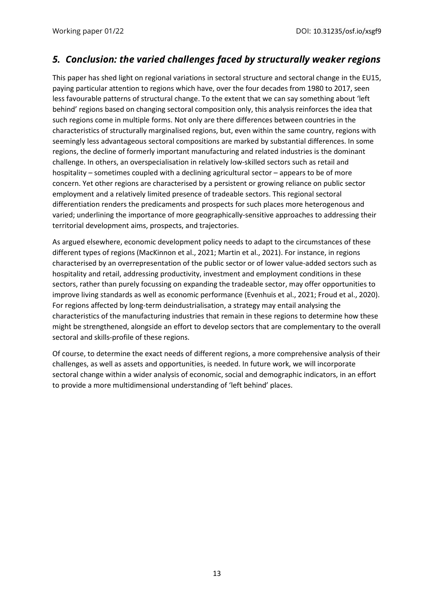# *5. Conclusion: the varied challenges faced by structurally weaker regions*

This paper has shed light on regional variations in sectoral structure and sectoral change in the EU15, paying particular attention to regions which have, over the four decades from 1980 to 2017, seen less favourable patterns of structural change. To the extent that we can say something about 'left behind' regions based on changing sectoral composition only, this analysis reinforces the idea that such regions come in multiple forms. Not only are there differences between countries in the characteristics of structurally marginalised regions, but, even within the same country, regions with seemingly less advantageous sectoral compositions are marked by substantial differences. In some regions, the decline of formerly important manufacturing and related industries is the dominant challenge. In others, an overspecialisation in relatively low-skilled sectors such as retail and hospitality – sometimes coupled with a declining agricultural sector – appears to be of more concern. Yet other regions are characterised by a persistent or growing reliance on public sector employment and a relatively limited presence of tradeable sectors. This regional sectoral differentiation renders the predicaments and prospects for such places more heterogenous and varied; underlining the importance of more geographically-sensitive approaches to addressing their territorial development aims, prospects, and trajectories.

As argued elsewhere, economic development policy needs to adapt to the circumstances of these different types of regions (MacKinnon et al., 2021; Martin et al., 2021). For instance, in regions characterised by an overrepresentation of the public sector or of lower value-added sectors such as hospitality and retail, addressing productivity, investment and employment conditions in these sectors, rather than purely focussing on expanding the tradeable sector, may offer opportunities to improve living standards as well as economic performance (Evenhuis et al., 2021; Froud et al., 2020). For regions affected by long-term deindustrialisation, a strategy may entail analysing the characteristics of the manufacturing industries that remain in these regions to determine how these might be strengthened, alongside an effort to develop sectors that are complementary to the overall sectoral and skills-profile of these regions.

Of course, to determine the exact needs of different regions, a more comprehensive analysis of their challenges, as well as assets and opportunities, is needed. In future work, we will incorporate sectoral change within a wider analysis of economic, social and demographic indicators, in an effort to provide a more multidimensional understanding of 'left behind' places.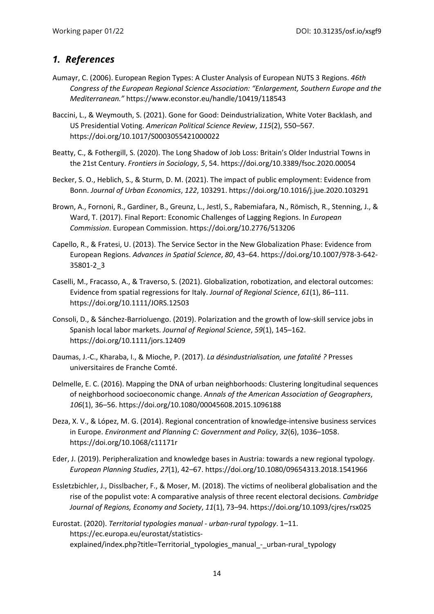## *1. References*

- Aumayr, C. (2006). European Region Types: A Cluster Analysis of European NUTS 3 Regions. *46th Congress of the European Regional Science Association: "Enlargement, Southern Europe and the Mediterranean."* https://www.econstor.eu/handle/10419/118543
- Baccini, L., & Weymouth, S. (2021). Gone for Good: Deindustrialization, White Voter Backlash, and US Presidential Voting. *American Political Science Review*, *115*(2), 550–567. https://doi.org/10.1017/S0003055421000022
- Beatty, C., & Fothergill, S. (2020). The Long Shadow of Job Loss: Britain's Older Industrial Towns in the 21st Century. *Frontiers in Sociology*, *5*, 54. https://doi.org/10.3389/fsoc.2020.00054
- Becker, S. O., Heblich, S., & Sturm, D. M. (2021). The impact of public employment: Evidence from Bonn. *Journal of Urban Economics*, *122*, 103291. https://doi.org/10.1016/j.jue.2020.103291
- Brown, A., Fornoni, R., Gardiner, B., Greunz, L., Jestl, S., Rabemiafara, N., Römisch, R., Stenning, J., & Ward, T. (2017). Final Report: Economic Challenges of Lagging Regions. In *European Commission*. European Commission. https://doi.org/10.2776/513206
- Capello, R., & Fratesi, U. (2013). The Service Sector in the New Globalization Phase: Evidence from European Regions. *Advances in Spatial Science*, *80*, 43–64. https://doi.org/10.1007/978-3-642- 35801-2\_3
- Caselli, M., Fracasso, A., & Traverso, S. (2021). Globalization, robotization, and electoral outcomes: Evidence from spatial regressions for Italy. *Journal of Regional Science*, *61*(1), 86–111. https://doi.org/10.1111/JORS.12503
- Consoli, D., & Sánchez-Barrioluengo. (2019). Polarization and the growth of low-skill service jobs in Spanish local labor markets. *Journal of Regional Science*, *59*(1), 145–162. https://doi.org/10.1111/jors.12409
- Daumas, J.-C., Kharaba, I., & Mioche, P. (2017). *La désindustrialisation, une fatalité ?* Presses universitaires de Franche Comté.
- Delmelle, E. C. (2016). Mapping the DNA of urban neighborhoods: Clustering longitudinal sequences of neighborhood socioeconomic change. *Annals of the American Association of Geographers*, *106*(1), 36–56. https://doi.org/10.1080/00045608.2015.1096188
- Deza, X. V., & López, M. G. (2014). Regional concentration of knowledge-intensive business services in Europe. *Environment and Planning C: Government and Policy*, *32*(6), 1036–1058. https://doi.org/10.1068/c11171r
- Eder, J. (2019). Peripheralization and knowledge bases in Austria: towards a new regional typology. *European Planning Studies*, *27*(1), 42–67. https://doi.org/10.1080/09654313.2018.1541966
- Essletzbichler, J., Disslbacher, F., & Moser, M. (2018). The victims of neoliberal globalisation and the rise of the populist vote: A comparative analysis of three recent electoral decisions. *Cambridge Journal of Regions, Economy and Society*, *11*(1), 73–94. https://doi.org/10.1093/cjres/rsx025
- Eurostat. (2020). *Territorial typologies manual - urban-rural typology*. 1–11. https://ec.europa.eu/eurostat/statisticsexplained/index.php?title=Territorial\_typologies\_manual\_-\_urban-rural\_typology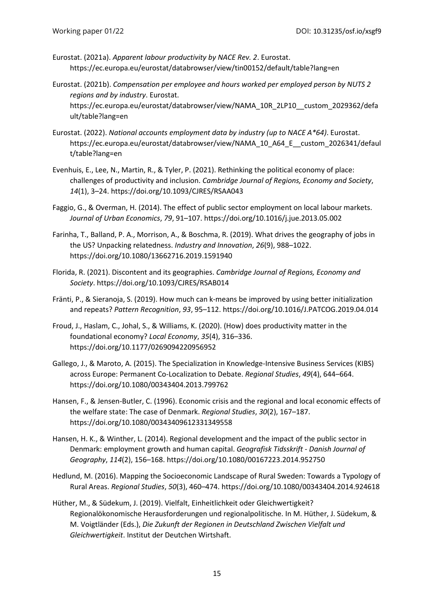- Eurostat. (2021a). *Apparent labour productivity by NACE Rev. 2*. Eurostat. https://ec.europa.eu/eurostat/databrowser/view/tin00152/default/table?lang=en
- Eurostat. (2021b). *Compensation per employee and hours worked per employed person by NUTS 2 regions and by industry*. Eurostat. https://ec.europa.eu/eurostat/databrowser/view/NAMA\_10R\_2LP10\_\_custom\_2029362/defa ult/table?lang=en
- Eurostat. (2022). *National accounts employment data by industry (up to NACE A\*64)*. Eurostat. https://ec.europa.eu/eurostat/databrowser/view/NAMA\_10\_A64\_E\_\_custom\_2026341/defaul t/table?lang=en
- Evenhuis, E., Lee, N., Martin, R., & Tyler, P. (2021). Rethinking the political economy of place: challenges of productivity and inclusion. *Cambridge Journal of Regions, Economy and Society*, *14*(1), 3–24. https://doi.org/10.1093/CJRES/RSAA043
- Faggio, G., & Overman, H. (2014). The effect of public sector employment on local labour markets. *Journal of Urban Economics*, *79*, 91–107. https://doi.org/10.1016/j.jue.2013.05.002
- Farinha, T., Balland, P. A., Morrison, A., & Boschma, R. (2019). What drives the geography of jobs in the US? Unpacking relatedness. *Industry and Innovation*, *26*(9), 988–1022. https://doi.org/10.1080/13662716.2019.1591940
- Florida, R. (2021). Discontent and its geographies. *Cambridge Journal of Regions, Economy and Society*. https://doi.org/10.1093/CJRES/RSAB014
- Fränti, P., & Sieranoja, S. (2019). How much can k-means be improved by using better initialization and repeats? *Pattern Recognition*, *93*, 95–112. https://doi.org/10.1016/J.PATCOG.2019.04.014
- Froud, J., Haslam, C., Johal, S., & Williams, K. (2020). (How) does productivity matter in the foundational economy? *Local Economy*, *35*(4), 316–336. https://doi.org/10.1177/0269094220956952
- Gallego, J., & Maroto, A. (2015). The Specialization in Knowledge-Intensive Business Services (KIBS) across Europe: Permanent Co-Localization to Debate. *Regional Studies*, *49*(4), 644–664. https://doi.org/10.1080/00343404.2013.799762
- Hansen, F., & Jensen-Butler, C. (1996). Economic crisis and the regional and local economic effects of the welfare state: The case of Denmark. *Regional Studies*, *30*(2), 167–187. https://doi.org/10.1080/00343409612331349558
- Hansen, H. K., & Winther, L. (2014). Regional development and the impact of the public sector in Denmark: employment growth and human capital. *Geografisk Tidsskrift - Danish Journal of Geography*, *114*(2), 156–168. https://doi.org/10.1080/00167223.2014.952750
- Hedlund, M. (2016). Mapping the Socioeconomic Landscape of Rural Sweden: Towards a Typology of Rural Areas. *Regional Studies*, *50*(3), 460–474. https://doi.org/10.1080/00343404.2014.924618
- Hüther, M., & Südekum, J. (2019). Vielfalt, Einheitlichkeit oder Gleichwertigkeit? Regionalökonomische Herausforderungen und regionalpolitische. In M. Hüther, J. Südekum, & M. Voigtländer (Eds.), *Die Zukunft der Regionen in Deutschland Zwischen Vielfalt und Gleichwertigkeit*. Institut der Deutchen Wirtshaft.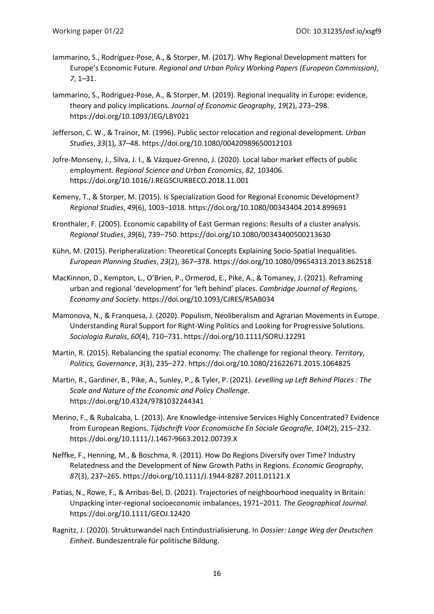- Iammarino, S., Rodríguez-Pose, A., & Storper, M. (2017). Why Regional Development matters for Europe's Economic Future. *Regional and Urban Policy Working Papers (European Commission)*, *7*, 1–31.
- Iammarino, S., Rodriguez-Pose, A., & Storper, M. (2019). Regional inequality in Europe: evidence, theory and policy implications. *Journal of Economic Geography*, *19*(2), 273–298. https://doi.org/10.1093/JEG/LBY021
- Jefferson, C. W., & Trainor, M. (1996). Public sector relocation and regional development. *Urban Studies*, *33*(1), 37–48. https://doi.org/10.1080/00420989650012103
- Jofre-Monseny, J., Silva, J. I., & Vázquez-Grenno, J. (2020). Local labor market effects of public employment. *Regional Science and Urban Economics*, *82*, 103406. https://doi.org/10.1016/J.REGSCIURBECO.2018.11.001
- Kemeny, T., & Storper, M. (2015). Is Specialization Good for Regional Economic Development? *Regional Studies*, *49*(6), 1003–1018. https://doi.org/10.1080/00343404.2014.899691
- Kronthaler, F. (2005). Economic capability of East German regions: Results of a cluster analysis. *Regional Studies*, *39*(6), 739–750. https://doi.org/10.1080/00343400500213630
- Kühn, M. (2015). Peripheralization: Theoretical Concepts Explaining Socio-Spatial Inequalities. *European Planning Studies*, *23*(2), 367–378. https://doi.org/10.1080/09654313.2013.862518
- MacKinnon, D., Kempton, L., O'Brien, P., Ormerod, E., Pike, A., & Tomaney, J. (2021). Reframing urban and regional 'development' for 'left behind' places. *Cambridge Journal of Regions, Economy and Society*. https://doi.org/10.1093/CJRES/RSAB034
- Mamonova, N., & Franquesa, J. (2020). Populism, Neoliberalism and Agrarian Movements in Europe. Understanding Rural Support for Right-Wing Politics and Looking for Progressive Solutions. *Sociologia Ruralis*, *60*(4), 710–731. https://doi.org/10.1111/SORU.12291
- Martin, R. (2015). Rebalancing the spatial economy: The challenge for regional theory. *Territory, Politics, Governance*, *3*(3), 235–272. https://doi.org/10.1080/21622671.2015.1064825
- Martin, R., Gardiner, B., Pike, A., Sunley, P., & Tyler, P. (2021). *Levelling up Left Behind Places : The Scale and Nature of the Economic and Policy Challenge*. https://doi.org/10.4324/9781032244341
- Merino, F., & Rubalcaba, L. (2013). Are Knowledge-intensive Services Highly Concentrated? Evidence from European Regions. *Tijdschrift Voor Economische En Sociale Geografie*, *104*(2), 215–232. https://doi.org/10.1111/J.1467-9663.2012.00739.X
- Neffke, F., Henning, M., & Boschma, R. (2011). How Do Regions Diversify over Time? Industry Relatedness and the Development of New Growth Paths in Regions. *Economic Geography*, *87*(3), 237–265. https://doi.org/10.1111/J.1944-8287.2011.01121.X
- Patias, N., Rowe, F., & Arribas-Bel, D. (2021). Trajectories of neighbourhood inequality in Britain: Unpacking inter-regional socioeconomic imbalances, 1971−2011. *The Geographical Journal*. https://doi.org/10.1111/GEOJ.12420
- Ragnitz, J. (2020). Strukturwandel nach Entindustrialisierung. In *Dossier: Lange Weg der Deutschen Einheit*. Bundeszentrale für politische Bildung.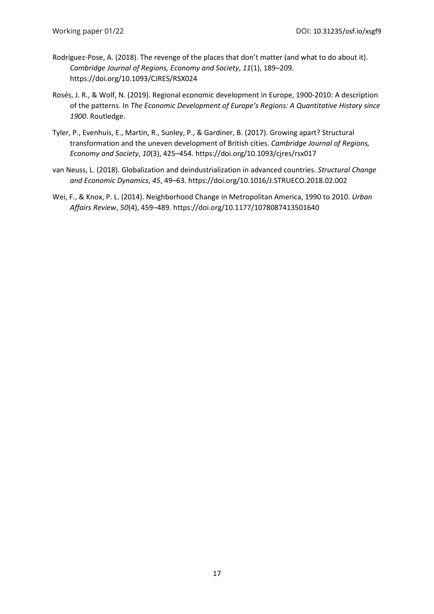- Rodríguez-Pose, A. (2018). The revenge of the places that don't matter (and what to do about it). *Cambridge Journal of Regions, Economy and Society*, *11*(1), 189–209. https://doi.org/10.1093/CJRES/RSX024
- Rosés, J. R., & Wolf, N. (2019). Regional economic development in Europe, 1900-2010: A description of the patterns. In *The Economic Development of Europe's Regions: A Quantitative History since 1900*. Routledge.
- Tyler, P., Evenhuis, E., Martin, R., Sunley, P., & Gardiner, B. (2017). Growing apart? Structural transformation and the uneven development of British cities. *Cambridge Journal of Regions, Economy and Society*, *10*(3), 425–454. https://doi.org/10.1093/cjres/rsx017
- van Neuss, L. (2018). Globalization and deindustrialization in advanced countries. *Structural Change and Economic Dynamics*, *45*, 49–63. https://doi.org/10.1016/J.STRUECO.2018.02.002
- Wei, F., & Knox, P. L. (2014). Neighborhood Change in Metropolitan America, 1990 to 2010. *Urban Affairs Review*, *50*(4), 459–489. https://doi.org/10.1177/1078087413501640